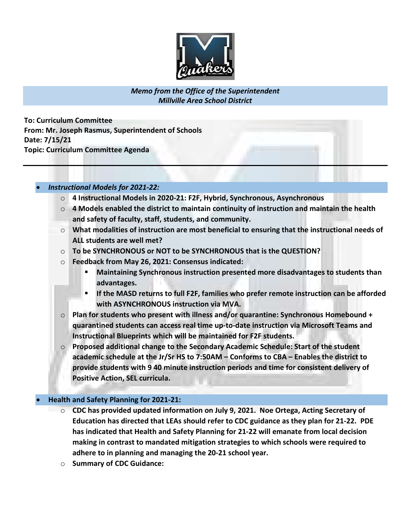

# Memo from the Office of the Superintendent Millville Area School District

To: Curriculum Committee From: Mr. Joseph Rasmus, Superintendent of Schools Date: 7/15/21 Topic: Curriculum Committee Agenda

### Instructional Models for 2021-22:

- o 4 Instructional Models in 2020-21: F2F, Hybrid, Synchronous, Asynchronous
- $\circ$  4 Models enabled the district to maintain continuity of instruction and maintain the health and safety of faculty, staff, students, and community.
- $\circ$  What modalities of instruction are most beneficial to ensuring that the instructional needs of ALL students are well met?
- $\circ$  To be SYNCHRONOUS or NOT to be SYNCHRONOUS that is the QUESTION?
- o Feedback from May 26, 2021: Consensus indicated:
	- **Maintaining Synchronous instruction presented more disadvantages to students than** advantages.
	- If the MASD returns to full F2F, families who prefer remote instruction can be afforded with ASYNCHRONOUS instruction via MVA.
- $\circ$  Plan for students who present with illness and/or quarantine: Synchronous Homebound + quarantined students can access real time up-to-date instruction via Microsoft Teams and Instructional Blueprints which will be maintained for F2F students.
- $\circ$  Proposed additional change to the Secondary Academic Schedule: Start of the student academic schedule at the Jr/Sr HS to 7:50AM – Conforms to CBA – Enables the district to provide students with 9 40 minute instruction periods and time for consistent delivery of Positive Action, SEL curricula.

#### Health and Safety Planning for 2021-21:

- $\circ$  CDC has provided updated information on July 9, 2021. Noe Ortega, Acting Secretary of Education has directed that LEAs should refer to CDC guidance as they plan for 21-22. PDE has indicated that Health and Safety Planning for 21-22 will emanate from local decision making in contrast to mandated mitigation strategies to which schools were required to adhere to in planning and managing the 20-21 school year.
- o Summary of CDC Guidance: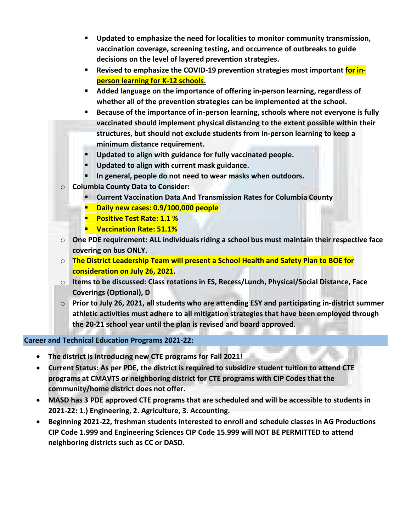- Updated to emphasize the need for localities to monitor community transmission, vaccination coverage, screening testing, and occurrence of outbreaks to guide decisions on the level of layered prevention strategies.
- **EXECT** Revised to emphasize the COVID-19 prevention strategies most important for inperson learning for K-12 schools.
- Added language on the importance of offering in-person learning, regardless of whether all of the prevention strategies can be implemented at the school.
- Because of the importance of in-person learning, schools where not everyone is fully vaccinated should implement physical distancing to the extent possible within their structures, but should not exclude students from in-person learning to keep a minimum distance requirement.
- Updated to align with guidance for fully vaccinated people.
- Updated to align with current mask guidance.
- In general, people do not need to wear masks when outdoors.
- o Columbia County Data to Consider:
	- Current Vaccination Data And Transmission Rates for Columbia County
	- Daily new cases: 0.9/100,000 people
	- **Positive Test Rate: 1.1 %**
	- **UACCONATION Rate: 51.1%**
- $\circ$  One PDE requirement: ALL individuals riding a school bus must maintain their respective face covering on bus ONLY.
- o The District Leadership Team will present a School Health and Safety Plan to BOE for consideration on July 26, 2021.
- o Items to be discussed: Class rotations in ES, Recess/Lunch, Physical/Social Distance, Face Coverings (Optional), D
- $\circ$  Prior to July 26, 2021, all students who are attending ESY and participating in-district summer athletic activities must adhere to all mitigation strategies that have been employed through the 20-21 school year until the plan is revised and board approved.

# Career and Technical Education Programs 2021-22:

- The district is introducing new CTE programs for Fall 2021!
- Current Status: As per PDE, the district is required to subsidize student tuition to attend CTE programs at CMAVTS or neighboring district for CTE programs with CIP Codes that the community/home district does not offer.
- MASD has 3 PDE approved CTE programs that are scheduled and will be accessible to students in 2021-22: 1.) Engineering, 2. Agriculture, 3. Accounting.
- Beginning 2021-22, freshman students interested to enroll and schedule classes in AG Productions CIP Code 1.999 and Engineering Sciences CIP Code 15.999 will NOT BE PERMITTED to attend neighboring districts such as CC or DASD.